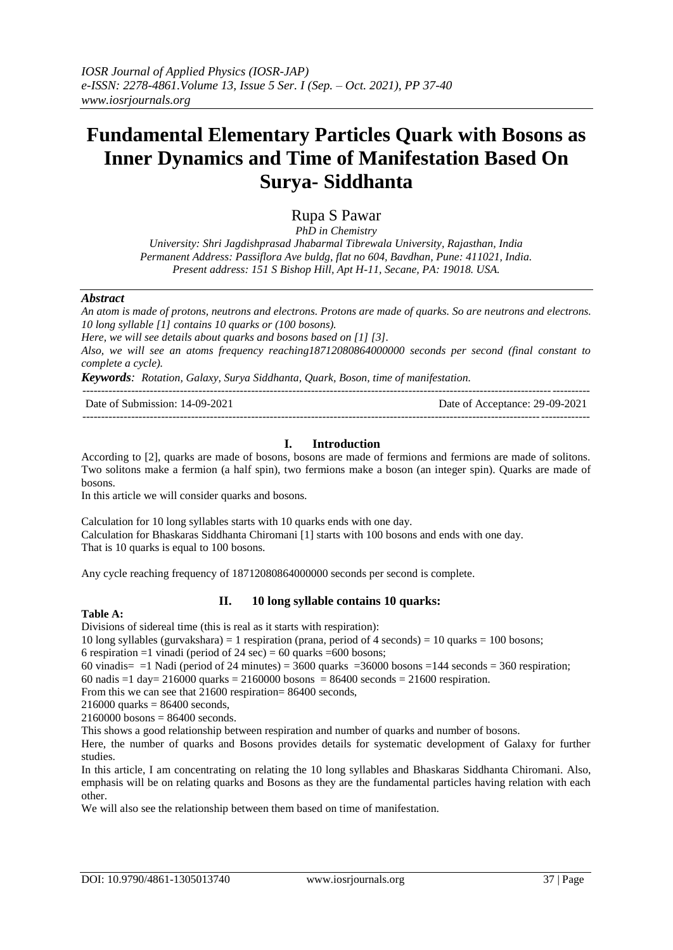# **Fundamental Elementary Particles Quark with Bosons as Inner Dynamics and Time of Manifestation Based On Surya- Siddhanta**

Rupa S Pawar

*PhD in Chemistry University: Shri Jagdishprasad Jhabarmal Tibrewala University, Rajasthan, India Permanent Address: Passiflora Ave buldg, flat no 604, Bavdhan, Pune: 411021, India. Present address: 151 S Bishop Hill, Apt H-11, Secane, PA: 19018. USA.*

#### *Abstract*

*An atom is made of protons, neutrons and electrons. Protons are made of quarks. So are neutrons and electrons. 10 long syllable [1] contains 10 quarks or (100 bosons).* 

*Here, we will see details about quarks and bosons based on [1] [3].*

*Also, we will see an atoms frequency reaching18712080864000000 seconds per second (final constant to complete a cycle).*

*Keywords: Rotation, Galaxy, Surya Siddhanta, Quark, Boson, time of manifestation.*

---------------------------------------------------------------------------------------------------------------------------------------

Date of Submission: 14-09-2021 Date of Acceptance: 29-09-2021 ---------------------------------------------------------------------------------------------------------------------------------------

## **I. Introduction**

According to [2], quarks are made of bosons, bosons are made of fermions and fermions are made of solitons. Two solitons make a fermion (a half spin), two fermions make a boson (an integer spin). Quarks are made of bosons.

In this article we will consider quarks and bosons.

Calculation for 10 long syllables starts with 10 quarks ends with one day. Calculation for Bhaskaras Siddhanta Chiromani [1] starts with 100 bosons and ends with one day. That is 10 quarks is equal to 100 bosons.

Any cycle reaching frequency of 18712080864000000 seconds per second is complete.

# **Table A:**

Divisions of sidereal time (this is real as it starts with respiration):

10 long syllables (gurvakshara) = 1 respiration (prana, period of 4 seconds) = 10 quarks = 100 bosons;

6 respiration =1 vinadi (period of 24 sec) = 60 quarks = 600 bosons;

60 vinadis=  $=1$  Nadi (period of 24 minutes) = 3600 quarks = 36000 bosons = 144 seconds = 360 respiration;

**II. 10 long syllable contains 10 quarks:**

60 nadis =1 day= 216000 quarks = 2160000 bosons = 86400 seconds = 21600 respiration.

From this we can see that 21600 respiration= 86400 seconds,

 $216000$  quarks = 86400 seconds,

 $2160000$  bosons = 86400 seconds.

This shows a good relationship between respiration and number of quarks and number of bosons.

Here, the number of quarks and Bosons provides details for systematic development of Galaxy for further studies.

In this article, I am concentrating on relating the 10 long syllables and Bhaskaras Siddhanta Chiromani. Also, emphasis will be on relating quarks and Bosons as they are the fundamental particles having relation with each other.

We will also see the relationship between them based on time of manifestation.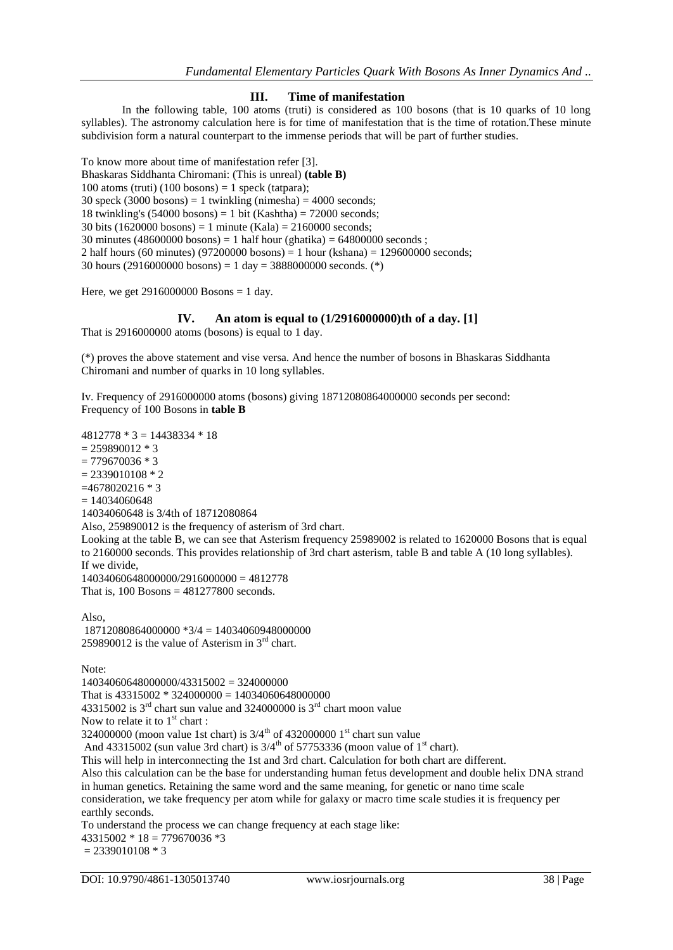#### **III. Time of manifestation**

In the following table, 100 atoms (truti) is considered as 100 bosons (that is 10 quarks of 10 long syllables). The astronomy calculation here is for time of manifestation that is the time of rotation.These minute subdivision form a natural counterpart to the immense periods that will be part of further studies.

To know more about time of manifestation refer [3]. Bhaskaras Siddhanta Chiromani: (This is unreal) **(table B)** 100 atoms (truti) (100 bosons) = 1 speck (tatpara); 30 speck (3000 bosons) = 1 twinkling (nimesha) =  $4000$  seconds; 18 twinkling's  $(54000 \text{ bosons}) = 1 \text{ bit}$  (Kashtha) = 72000 seconds; 30 bits (1620000 bosons) = 1 minute (Kala) = 2160000 seconds; 30 minutes (48600000 bosons) = 1 half hour (ghatika) = 64800000 seconds; 2 half hours (60 minutes) (97200000 bosons) = 1 hour (kshana) =  $129600000$  seconds; 30 hours (2916000000 bosons) = 1 day = 3888000000 seconds. (\*)

Here, we get  $2916000000$  Bosons = 1 day.

## **IV. An atom is equal to (1/2916000000)th of a day. [1]**

That is 2916000000 atoms (bosons) is equal to 1 day.

(\*) proves the above statement and vise versa. And hence the number of bosons in Bhaskaras Siddhanta Chiromani and number of quarks in 10 long syllables.

Iv. Frequency of 2916000000 atoms (bosons) giving 18712080864000000 seconds per second: Frequency of 100 Bosons in **table B**

4812778 \* 3 = 14438334 \* 18

 $= 259890012 * 3$ 

 $= 779670036 * 3$  $= 2339010108 * 2$  $=4678020216 * 3$  $= 14034060648$ 14034060648 is 3/4th of 18712080864 Also, 259890012 is the frequency of asterism of 3rd chart. Looking at the table B, we can see that Asterism frequency 25989002 is related to 1620000 Bosons that is equal to 2160000 seconds. This provides relationship of 3rd chart asterism, table B and table A (10 long syllables). If we divide, 14034060648000000/2916000000 = 4812778 That is,  $100$  Bosons =  $481277800$  seconds. Also, 18712080864000000 \*3/4 = 14034060948000000 259890012 is the value of Asterism in  $3<sup>rd</sup>$  chart. Note: 14034060648000000/43315002 = 324000000 That is  $43315002 * 324000000 = 14034060648000000$ 43315002 is  $3<sup>rd</sup>$  chart sun value and 324000000 is  $3<sup>rd</sup>$  chart moon value

Now to relate it to  $1<sup>st</sup>$  chart :

324000000 (moon value 1st chart) is  $3/4^{th}$  of 432000000 1<sup>st</sup> chart sun value

And 43315002 (sun value 3rd chart) is  $3/4^{\text{th}}$  of 57753336 (moon value of 1<sup>st</sup> chart).

This will help in interconnecting the 1st and 3rd chart. Calculation for both chart are different.

Also this calculation can be the base for understanding human fetus development and double helix DNA strand in human genetics. Retaining the same word and the same meaning, for genetic or nano time scale

consideration, we take frequency per atom while for galaxy or macro time scale studies it is frequency per earthly seconds.

To understand the process we can change frequency at each stage like:

 $43315002 * 18 = 779670036 * 3$ 

 $= 2339010108 * 3$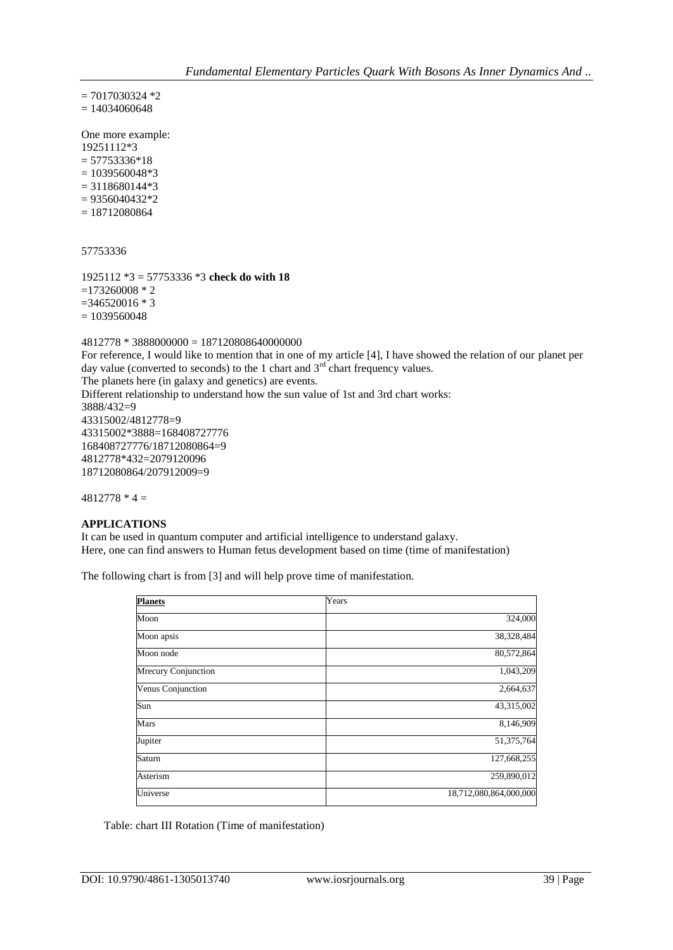$= 7017030324 *2$  $= 14034060648$ 

One more example: 19251112\*3  $= 57753336*18$  $= 1039560048*3$  $= 3118680144*3$  $= 9356040432*2$  $= 18712080864$ 

57753336

1925112 \*3 = 57753336 \*3 **check do with 18**  $=173260008 * 2$  $=346520016 * 3$  $= 1039560048$ 

 $4812778 * 3888000000 = 187120808640000000$ For reference, I would like to mention that in one of my article [4], I have showed the relation of our planet per day value (converted to seconds) to the 1 chart and  $3<sup>rd</sup>$  chart frequency values. The planets here (in galaxy and genetics) are events. Different relationship to understand how the sun value of 1st and 3rd chart works: 3888/432=9 43315002/4812778=9 43315002\*3888=168408727776 168408727776/18712080864=9 4812778\*432=2079120096 18712080864/207912009=9

 $4812778 * 4 =$ 

### **APPLICATIONS**

It can be used in quantum computer and artificial intelligence to understand galaxy. Here, one can find answers to Human fetus development based on time (time of manifestation)

The following chart is from [3] and will help prove time of manifestation.

| <b>Planets</b>      | Years                  |
|---------------------|------------------------|
| Moon                | 324,000                |
| Moon apsis          | 38,328,484             |
| Moon node           | 80,572,864             |
| Mrecury Conjunction | 1,043,209              |
| Venus Conjunction   | 2,664,637              |
| Sun                 | 43,315,002             |
| Mars                | 8,146,909              |
| Jupiter             | 51,375,764             |
| Saturn              | 127,668,255            |
| Asterism            | 259,890,012            |
| Universe            | 18,712,080,864,000,000 |

Table: chart III Rotation (Time of manifestation)